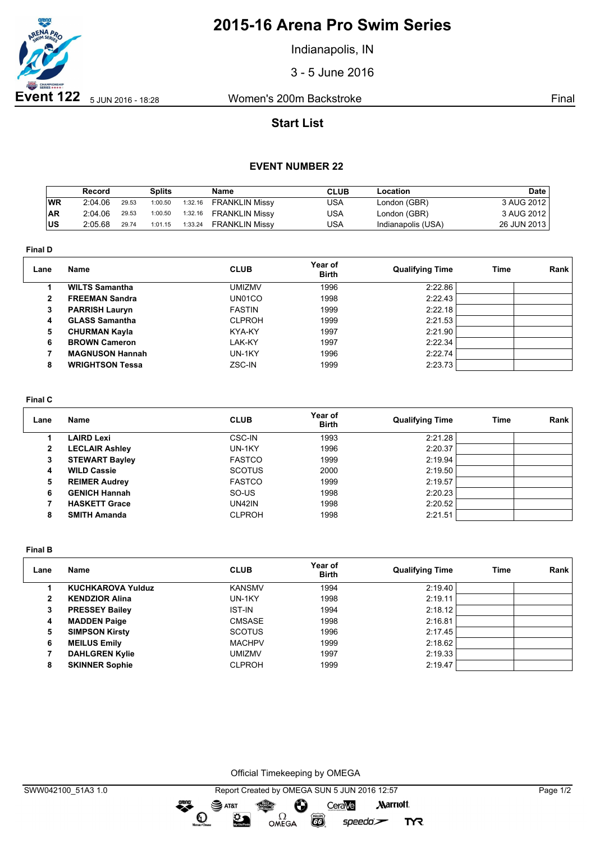

# **2015-16 Arena Pro Swim Series**

Indianapolis, IN

3 - 5 June 2016

## **Start List**

### **EVENT NUMBER 22**

|     | Record  |       | <b>Splits</b> |         | <b>Name</b>           | <b>CLUB</b> | Location           | Date        |
|-----|---------|-------|---------------|---------|-----------------------|-------------|--------------------|-------------|
| WR  | 2:04.06 | 29.53 | 1:00.50       | 1:32.16 | <b>FRANKLIN Missy</b> | USA         | London (GBR)       | 3 AUG 2012  |
| AR  | 2:04.06 | 29.53 | 1:00.50       | 1:32.16 | <b>FRANKLIN Missy</b> | USA         | London (GBR)       | 3 AUG 2012  |
| lus | 2:05.68 | 29.74 | 1:01.15       | 1:33.24 | <b>FRANKLIN Missy</b> | USA         | Indianapolis (USA) | 26 JUN 2013 |

**Final D**

| Lane         | Name                   | <b>CLUB</b>   | Year of<br><b>Birth</b> | <b>Qualifying Time</b> | Time | <b>Rank</b> |
|--------------|------------------------|---------------|-------------------------|------------------------|------|-------------|
|              | <b>WILTS Samantha</b>  | <b>UMIZMV</b> | 1996                    | 2:22.86                |      |             |
| $\mathbf{2}$ | <b>FREEMAN Sandra</b>  | UN01CO        | 1998                    | 2:22.43                |      |             |
| 3            | <b>PARRISH Lauryn</b>  | <b>FASTIN</b> | 1999                    | 2:22.18                |      |             |
| 4            | <b>GLASS Samantha</b>  | <b>CLPROH</b> | 1999                    | 2:21.53                |      |             |
| 5.           | <b>CHURMAN Kayla</b>   | KYA-KY        | 1997                    | 2:21.90                |      |             |
| 6            | <b>BROWN Cameron</b>   | LAK-KY        | 1997                    | 2:22.34                |      |             |
|              | <b>MAGNUSON Hannah</b> | UN-1KY        | 1996                    | 2:22.74                |      |             |
| 8            | <b>WRIGHTSON Tessa</b> | ZSC-IN        | 1999                    | 2:23.73                |      |             |

#### **Final C**

| Lane         | Name                  | <b>CLUB</b>   | Year of<br><b>Birth</b> | <b>Qualifying Time</b> | Time | Rank |
|--------------|-----------------------|---------------|-------------------------|------------------------|------|------|
|              | <b>LAIRD Lexi</b>     | CSC-IN        | 1993                    | 2:21.28                |      |      |
| $\mathbf{2}$ | <b>LECLAIR Ashley</b> | UN-1KY        | 1996                    | 2:20.37                |      |      |
| 3            | <b>STEWART Bayley</b> | <b>FASTCO</b> | 1999                    | 2:19.94                |      |      |
| 4            | <b>WILD Cassie</b>    | <b>SCOTUS</b> | 2000                    | 2:19.50                |      |      |
| 5            | <b>REIMER Audrey</b>  | <b>FASTCO</b> | 1999                    | 2:19.57                |      |      |
| 6            | <b>GENICH Hannah</b>  | SO-US         | 1998                    | 2:20.23                |      |      |
|              | <b>HASKETT Grace</b>  | UN42IN        | 1998                    | 2:20.52                |      |      |
| 8            | <b>SMITH Amanda</b>   | <b>CLPROH</b> | 1998                    | 2:21.51                |      |      |

**Final B**

| Lane | Name                     | <b>CLUB</b>   | Year of<br><b>Birth</b> | <b>Qualifying Time</b> | Time | Rank |
|------|--------------------------|---------------|-------------------------|------------------------|------|------|
|      | <b>KUCHKAROVA Yulduz</b> | <b>KANSMV</b> | 1994                    | 2:19.40                |      |      |
| 2    | <b>KENDZIOR Alina</b>    | UN-1KY        | 1998                    | 2:19.11                |      |      |
| 3    | <b>PRESSEY Bailey</b>    | <b>IST-IN</b> | 1994                    | 2:18.12                |      |      |
| 4    | <b>MADDEN Paige</b>      | <b>CMSASE</b> | 1998                    | 2:16.81                |      |      |
| 5    | <b>SIMPSON Kirsty</b>    | <b>SCOTUS</b> | 1996                    | 2:17.45                |      |      |
| 6    | <b>MEILUS Emily</b>      | <b>MACHPV</b> | 1999                    | 2:18.62                |      |      |
|      | <b>DAHLGREN Kylie</b>    | umizmv        | 1997                    | 2:19.33                |      |      |
| 8    | <b>SKINNER Sophie</b>    | <b>CLPROH</b> | 1999                    | 2:19.47                |      |      |

Official Timekeeping by OMEGA

 $\overline{G}$ 

 $speedo$ 

**TYR** 

OMEGA

dreng:

 $\mathbf{O}$ 

 $\mathfrak{D}$